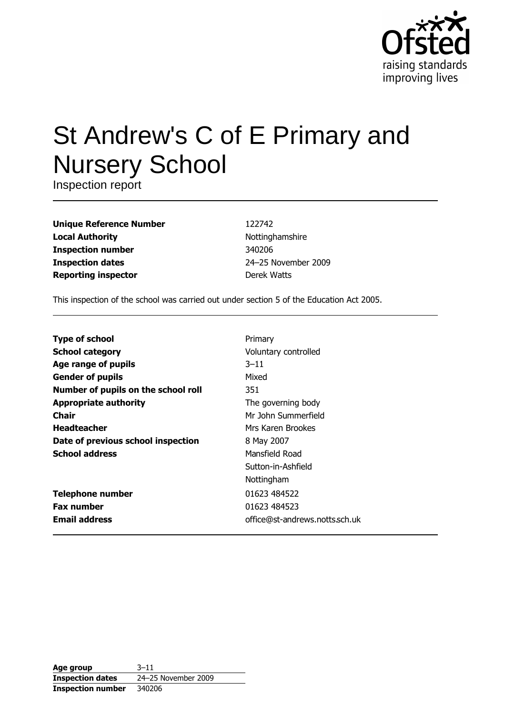

# St Andrew's C of E Primary and **Nursery School**

Inspection report

| <b>Unique Reference Number</b> |
|--------------------------------|
| <b>Local Authority</b>         |
| <b>Inspection number</b>       |
| <b>Inspection dates</b>        |
| <b>Reporting inspector</b>     |

122742 Nottinghamshire 340206 24-25 November 2009 Derek Watts

This inspection of the school was carried out under section 5 of the Education Act 2005.

| <b>Type of school</b>               | Primary                        |
|-------------------------------------|--------------------------------|
| <b>School category</b>              | Voluntary controlled           |
| Age range of pupils                 | $3 - 11$                       |
| <b>Gender of pupils</b>             | Mixed                          |
| Number of pupils on the school roll | 351                            |
| <b>Appropriate authority</b>        | The governing body             |
| Chair                               | Mr John Summerfield            |
| <b>Headteacher</b>                  | Mrs Karen Brookes              |
| Date of previous school inspection  | 8 May 2007                     |
| <b>School address</b>               | Mansfield Road                 |
|                                     | Sutton-in-Ashfield             |
|                                     | Nottingham                     |
| <b>Telephone number</b>             | 01623 484522                   |
| <b>Fax number</b>                   | 01623 484523                   |
| <b>Email address</b>                | office@st-andrews.notts.sch.uk |
|                                     |                                |

| Age group                | $3 - 11$            |
|--------------------------|---------------------|
| <b>Inspection dates</b>  | 24-25 November 2009 |
| <b>Inspection number</b> | 340206              |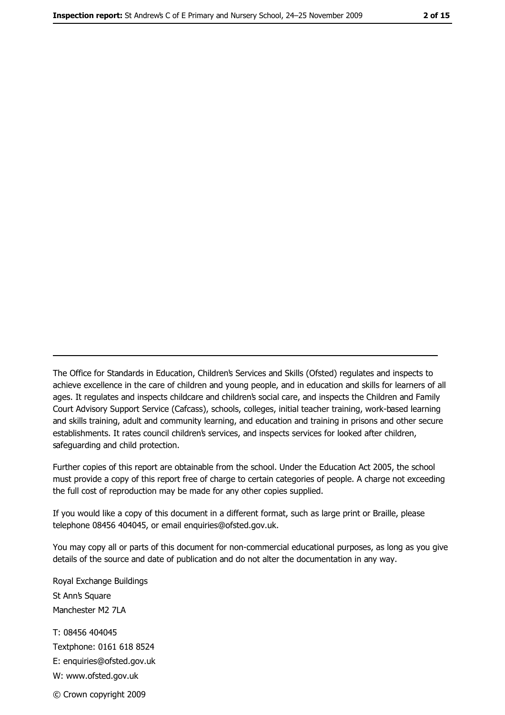The Office for Standards in Education, Children's Services and Skills (Ofsted) regulates and inspects to achieve excellence in the care of children and young people, and in education and skills for learners of all ages. It regulates and inspects childcare and children's social care, and inspects the Children and Family Court Advisory Support Service (Cafcass), schools, colleges, initial teacher training, work-based learning and skills training, adult and community learning, and education and training in prisons and other secure establishments. It rates council children's services, and inspects services for looked after children, safequarding and child protection.

Further copies of this report are obtainable from the school. Under the Education Act 2005, the school must provide a copy of this report free of charge to certain categories of people. A charge not exceeding the full cost of reproduction may be made for any other copies supplied.

If you would like a copy of this document in a different format, such as large print or Braille, please telephone 08456 404045, or email enquiries@ofsted.gov.uk.

You may copy all or parts of this document for non-commercial educational purposes, as long as you give details of the source and date of publication and do not alter the documentation in any way.

Royal Exchange Buildings St Ann's Square Manchester M2 7LA T: 08456 404045 Textphone: 0161 618 8524 E: enquiries@ofsted.gov.uk W: www.ofsted.gov.uk

© Crown copyright 2009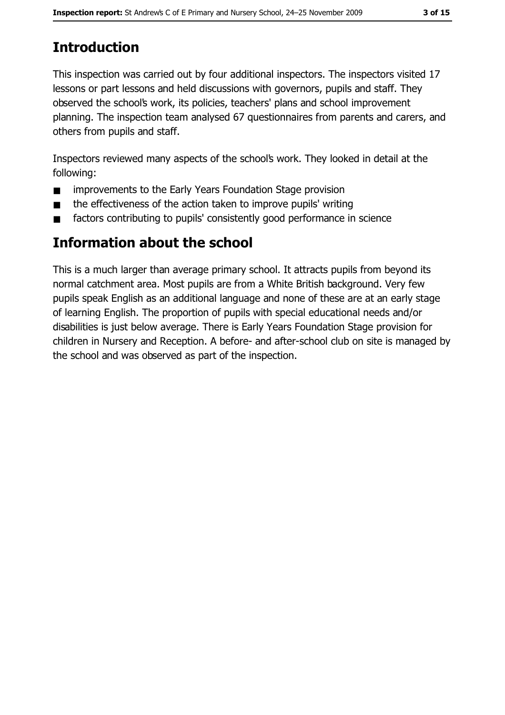# **Introduction**

This inspection was carried out by four additional inspectors. The inspectors visited 17 lessons or part lessons and held discussions with governors, pupils and staff. They observed the school's work, its policies, teachers' plans and school improvement planning. The inspection team analysed 67 questionnaires from parents and carers, and others from pupils and staff.

Inspectors reviewed many aspects of the school's work. They looked in detail at the following:

- improvements to the Early Years Foundation Stage provision  $\blacksquare$
- the effectiveness of the action taken to improve pupils' writing  $\blacksquare$
- factors contributing to pupils' consistently good performance in science  $\blacksquare$

# **Information about the school**

This is a much larger than average primary school. It attracts pupils from beyond its normal catchment area. Most pupils are from a White British background. Very few pupils speak English as an additional language and none of these are at an early stage of learning English. The proportion of pupils with special educational needs and/or disabilities is just below average. There is Early Years Foundation Stage provision for children in Nursery and Reception. A before- and after-school club on site is managed by the school and was observed as part of the inspection.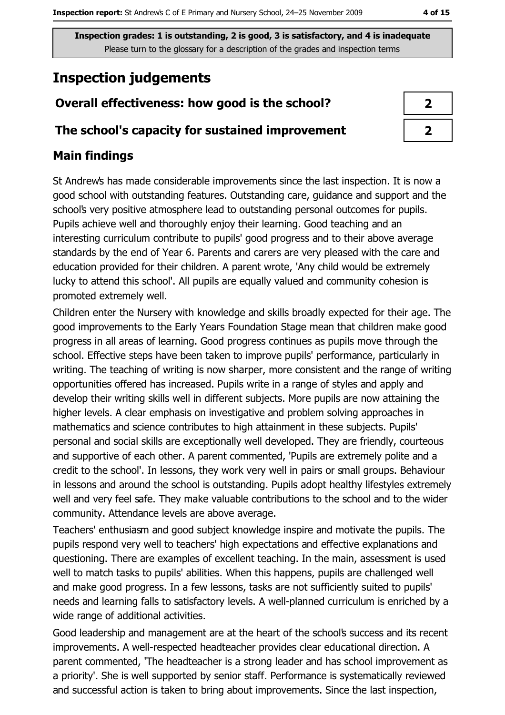# **Inspection judgements**

# Overall effectiveness: how good is the school?

### The school's capacity for sustained improvement

# **Main findings**

St Andrew's has made considerable improvements since the last inspection. It is now a good school with outstanding features. Outstanding care, guidance and support and the school's very positive atmosphere lead to outstanding personal outcomes for pupils. Pupils achieve well and thoroughly enjoy their learning. Good teaching and an interesting curriculum contribute to pupils' good progress and to their above average standards by the end of Year 6. Parents and carers are very pleased with the care and education provided for their children. A parent wrote, 'Any child would be extremely lucky to attend this school'. All pupils are equally valued and community cohesion is promoted extremely well.

Children enter the Nursery with knowledge and skills broadly expected for their age. The good improvements to the Early Years Foundation Stage mean that children make good progress in all areas of learning. Good progress continues as pupils move through the school. Effective steps have been taken to improve pupils' performance, particularly in writing. The teaching of writing is now sharper, more consistent and the range of writing opportunities offered has increased. Pupils write in a range of styles and apply and develop their writing skills well in different subjects. More pupils are now attaining the higher levels. A clear emphasis on investigative and problem solving approaches in mathematics and science contributes to high attainment in these subjects. Pupils' personal and social skills are exceptionally well developed. They are friendly, courteous and supportive of each other. A parent commented, 'Pupils are extremely polite and a credit to the school'. In lessons, they work very well in pairs or small groups. Behaviour in lessons and around the school is outstanding. Pupils adopt healthy lifestyles extremely well and very feel safe. They make valuable contributions to the school and to the wider community. Attendance levels are above average.

Teachers' enthusiasm and good subject knowledge inspire and motivate the pupils. The pupils respond very well to teachers' high expectations and effective explanations and questioning. There are examples of excellent teaching. In the main, assessment is used well to match tasks to pupils' abilities. When this happens, pupils are challenged well and make good progress. In a few lessons, tasks are not sufficiently suited to pupils' needs and learning falls to satisfactory levels. A well-planned curriculum is enriched by a wide range of additional activities.

Good leadership and management are at the heart of the school's success and its recent improvements. A well-respected headteacher provides clear educational direction. A parent commented. 'The headteacher is a strong leader and has school improvement as a priority'. She is well supported by senior staff. Performance is systematically reviewed and successful action is taken to bring about improvements. Since the last inspection,

| ↗ |  |
|---|--|
| ≯ |  |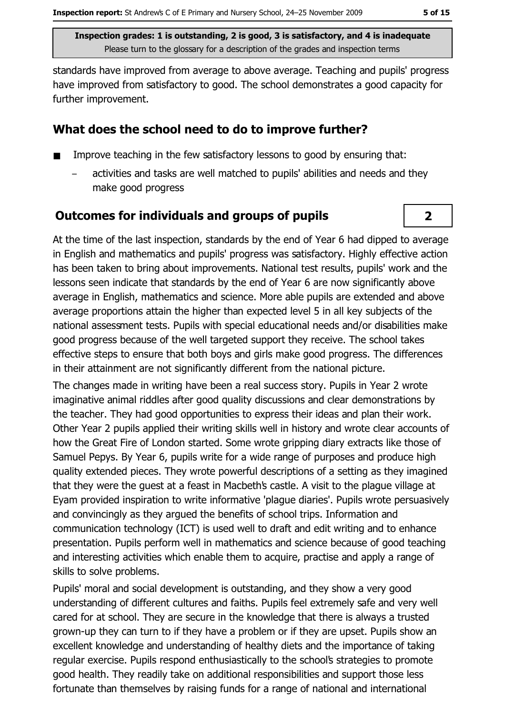$\overline{2}$ 

Inspection grades: 1 is outstanding, 2 is good, 3 is satisfactory, and 4 is inadequate Please turn to the glossary for a description of the grades and inspection terms

standards have improved from average to above average. Teaching and pupils' progress have improved from satisfactory to good. The school demonstrates a good capacity for further improvement.

# What does the school need to do to improve further?

- Improve teaching in the few satisfactory lessons to good by ensuring that:
	- activities and tasks are well matched to pupils' abilities and needs and they make good progress

# **Outcomes for individuals and groups of pupils**

At the time of the last inspection, standards by the end of Year 6 had dipped to average in English and mathematics and pupils' progress was satisfactory. Highly effective action has been taken to bring about improvements. National test results, pupils' work and the lessons seen indicate that standards by the end of Year 6 are now significantly above average in English, mathematics and science. More able pupils are extended and above average proportions attain the higher than expected level 5 in all key subjects of the national assessment tests. Pupils with special educational needs and/or disabilities make good progress because of the well targeted support they receive. The school takes effective steps to ensure that both boys and girls make good progress. The differences in their attainment are not significantly different from the national picture.

The changes made in writing have been a real success story. Pupils in Year 2 wrote imaginative animal riddles after good quality discussions and clear demonstrations by the teacher. They had good opportunities to express their ideas and plan their work. Other Year 2 pupils applied their writing skills well in history and wrote clear accounts of how the Great Fire of London started. Some wrote gripping diary extracts like those of Samuel Pepys. By Year 6, pupils write for a wide range of purposes and produce high quality extended pieces. They wrote powerful descriptions of a setting as they imagined that they were the quest at a feast in Macbeth's castle. A visit to the plaque village at Eyam provided inspiration to write informative 'plague diaries'. Pupils wrote persuasively and convincingly as they argued the benefits of school trips. Information and communication technology (ICT) is used well to draft and edit writing and to enhance presentation. Pupils perform well in mathematics and science because of good teaching and interesting activities which enable them to acquire, practise and apply a range of skills to solve problems.

Pupils' moral and social development is outstanding, and they show a very good understanding of different cultures and faiths. Pupils feel extremely safe and very well cared for at school. They are secure in the knowledge that there is always a trusted grown-up they can turn to if they have a problem or if they are upset. Pupils show an excellent knowledge and understanding of healthy diets and the importance of taking regular exercise. Pupils respond enthusiastically to the school's strategies to promote good health. They readily take on additional responsibilities and support those less fortunate than themselves by raising funds for a range of national and international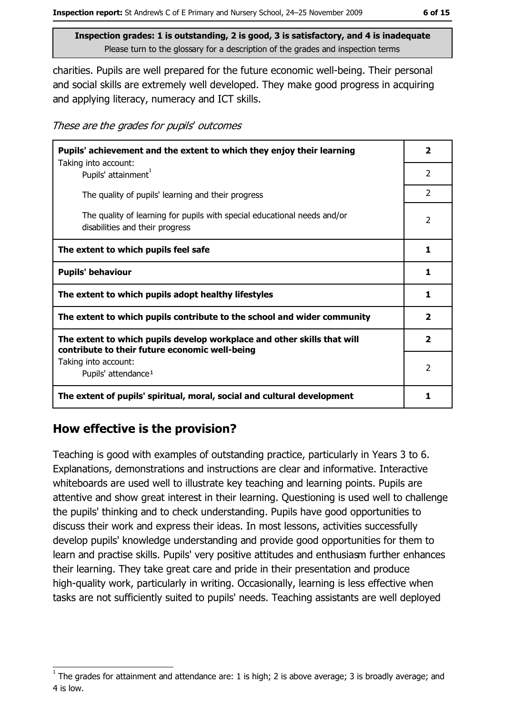charities. Pupils are well prepared for the future economic well-being. Their personal and social skills are extremely well developed. They make good progress in acquiring and applying literacy, numeracy and ICT skills.

These are the grades for pupils' outcomes

| Pupils' achievement and the extent to which they enjoy their learning                                                     |                          |
|---------------------------------------------------------------------------------------------------------------------------|--------------------------|
| Taking into account:<br>Pupils' attainment <sup>1</sup>                                                                   | $\overline{\phantom{a}}$ |
| The quality of pupils' learning and their progress                                                                        | $\mathcal{P}$            |
| The quality of learning for pupils with special educational needs and/or<br>disabilities and their progress               | $\overline{2}$           |
| The extent to which pupils feel safe                                                                                      | 1                        |
| <b>Pupils' behaviour</b>                                                                                                  |                          |
| The extent to which pupils adopt healthy lifestyles                                                                       | 1                        |
| The extent to which pupils contribute to the school and wider community                                                   |                          |
| The extent to which pupils develop workplace and other skills that will<br>contribute to their future economic well-being |                          |
| Taking into account:<br>Pupils' attendance <sup>1</sup>                                                                   | 2                        |
| The extent of pupils' spiritual, moral, social and cultural development                                                   | 1                        |

### How effective is the provision?

Teaching is good with examples of outstanding practice, particularly in Years 3 to 6. Explanations, demonstrations and instructions are clear and informative. Interactive whiteboards are used well to illustrate key teaching and learning points. Pupils are attentive and show great interest in their learning. Questioning is used well to challenge the pupils' thinking and to check understanding. Pupils have good opportunities to discuss their work and express their ideas. In most lessons, activities successfully develop pupils' knowledge understanding and provide good opportunities for them to learn and practise skills. Pupils' very positive attitudes and enthusiasm further enhances their learning. They take great care and pride in their presentation and produce high-quality work, particularly in writing. Occasionally, learning is less effective when tasks are not sufficiently suited to pupils' needs. Teaching assistants are well deployed

The grades for attainment and attendance are: 1 is high; 2 is above average; 3 is broadly average; and 4 is low.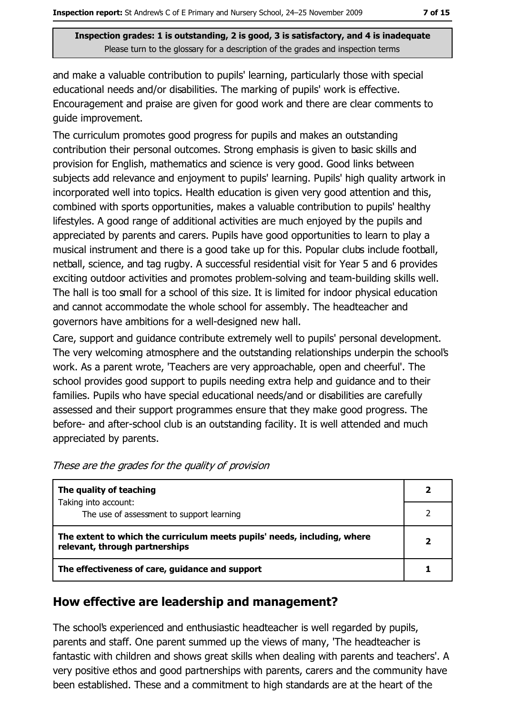and make a valuable contribution to pupils' learning, particularly those with special educational needs and/or disabilities. The marking of pupils' work is effective. Encouragement and praise are given for good work and there are clear comments to guide improvement.

The curriculum promotes good progress for pupils and makes an outstanding contribution their personal outcomes. Strong emphasis is given to basic skills and provision for English, mathematics and science is very good. Good links between subjects add relevance and enjoyment to pupils' learning. Pupils' high quality artwork in incorporated well into topics. Health education is given very good attention and this, combined with sports opportunities, makes a valuable contribution to pupils' healthy lifestyles. A good range of additional activities are much enjoyed by the pupils and appreciated by parents and carers. Pupils have good opportunities to learn to play a musical instrument and there is a good take up for this. Popular clubs include football, netball, science, and tag rugby. A successful residential visit for Year 5 and 6 provides exciting outdoor activities and promotes problem-solving and team-building skills well. The hall is too small for a school of this size. It is limited for indoor physical education and cannot accommodate the whole school for assembly. The headteacher and governors have ambitions for a well-designed new hall.

Care, support and guidance contribute extremely well to pupils' personal development. The very welcoming atmosphere and the outstanding relationships underpin the school's work. As a parent wrote, 'Teachers are very approachable, open and cheerful'. The school provides good support to pupils needing extra help and guidance and to their families. Pupils who have special educational needs/and or disabilities are carefully assessed and their support programmes ensure that they make good progress. The before- and after-school club is an outstanding facility. It is well attended and much appreciated by parents.

| The quality of teaching                                                                                    |   |
|------------------------------------------------------------------------------------------------------------|---|
| Taking into account:<br>The use of assessment to support learning                                          |   |
| The extent to which the curriculum meets pupils' needs, including, where<br>relevant, through partnerships | 2 |
| The effectiveness of care, guidance and support                                                            |   |

These are the grades for the quality of provision

#### How effective are leadership and management?

The school's experienced and enthusiastic headteacher is well regarded by pupils, parents and staff. One parent summed up the views of many, 'The headteacher is fantastic with children and shows great skills when dealing with parents and teachers'. A very positive ethos and good partnerships with parents, carers and the community have been established. These and a commitment to high standards are at the heart of the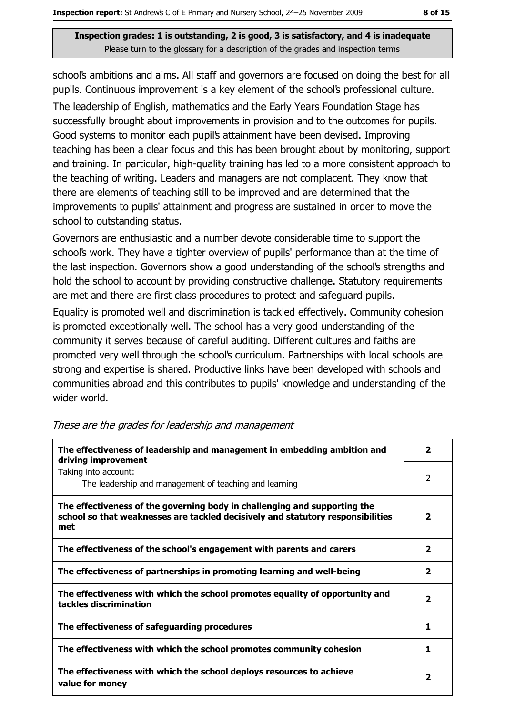school's ambitions and aims. All staff and governors are focused on doing the best for all pupils. Continuous improvement is a key element of the school's professional culture. The leadership of English, mathematics and the Early Years Foundation Stage has successfully brought about improvements in provision and to the outcomes for pupils. Good systems to monitor each pupil's attainment have been devised. Improving teaching has been a clear focus and this has been brought about by monitoring, support and training. In particular, high-quality training has led to a more consistent approach to the teaching of writing. Leaders and managers are not complacent. They know that there are elements of teaching still to be improved and are determined that the improvements to pupils' attainment and progress are sustained in order to move the school to outstanding status.

Governors are enthusiastic and a number devote considerable time to support the school's work. They have a tighter overview of pupils' performance than at the time of the last inspection. Governors show a good understanding of the school's strengths and hold the school to account by providing constructive challenge. Statutory requirements are met and there are first class procedures to protect and safeguard pupils.

Equality is promoted well and discrimination is tackled effectively. Community cohesion is promoted exceptionally well. The school has a very good understanding of the community it serves because of careful auditing. Different cultures and faiths are promoted very well through the school's curriculum. Partnerships with local schools are strong and expertise is shared. Productive links have been developed with schools and communities abroad and this contributes to pupils' knowledge and understanding of the wider world.

| The effectiveness of leadership and management in embedding ambition and<br>driving improvement                                                                     |                         |
|---------------------------------------------------------------------------------------------------------------------------------------------------------------------|-------------------------|
| Taking into account:<br>The leadership and management of teaching and learning                                                                                      | $\overline{2}$          |
| The effectiveness of the governing body in challenging and supporting the<br>school so that weaknesses are tackled decisively and statutory responsibilities<br>met | 2                       |
| The effectiveness of the school's engagement with parents and carers                                                                                                | 2                       |
| The effectiveness of partnerships in promoting learning and well-being                                                                                              | $\overline{\mathbf{2}}$ |
| The effectiveness with which the school promotes equality of opportunity and<br>tackles discrimination                                                              | $\overline{\mathbf{2}}$ |
| The effectiveness of safeguarding procedures                                                                                                                        | 1                       |
| The effectiveness with which the school promotes community cohesion                                                                                                 | 1                       |
| The effectiveness with which the school deploys resources to achieve<br>value for money                                                                             | $\overline{\mathbf{2}}$ |

#### These are the grades for leadership and management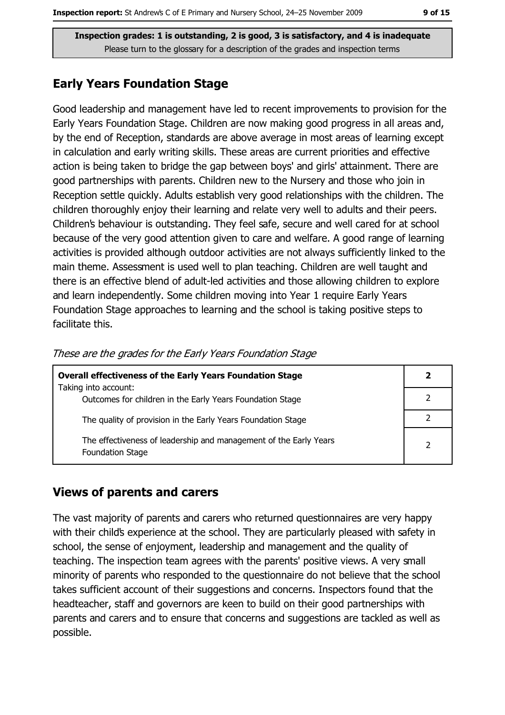# **Early Years Foundation Stage**

Good leadership and management have led to recent improvements to provision for the Early Years Foundation Stage. Children are now making good progress in all areas and, by the end of Reception, standards are above average in most areas of learning except in calculation and early writing skills. These areas are current priorities and effective action is being taken to bridge the gap between boys' and girls' attainment. There are good partnerships with parents. Children new to the Nursery and those who join in Reception settle quickly. Adults establish very good relationships with the children. The children thoroughly enjoy their learning and relate very well to adults and their peers. Children's behaviour is outstanding. They feel safe, secure and well cared for at school because of the very good attention given to care and welfare. A good range of learning activities is provided although outdoor activities are not always sufficiently linked to the main theme. Assessment is used well to plan teaching. Children are well taught and there is an effective blend of adult-led activities and those allowing children to explore and learn independently. Some children moving into Year 1 require Early Years Foundation Stage approaches to learning and the school is taking positive steps to facilitate this.

| <b>Overall effectiveness of the Early Years Foundation Stage</b><br>Taking into account:     | 2 |
|----------------------------------------------------------------------------------------------|---|
| Outcomes for children in the Early Years Foundation Stage                                    |   |
| The quality of provision in the Early Years Foundation Stage                                 |   |
| The effectiveness of leadership and management of the Early Years<br><b>Foundation Stage</b> |   |

These are the grades for the Early Years Foundation Stage

### **Views of parents and carers**

The vast majority of parents and carers who returned questionnaires are very happy with their child's experience at the school. They are particularly pleased with safety in school, the sense of enjoyment, leadership and management and the quality of teaching. The inspection team agrees with the parents' positive views. A very small minority of parents who responded to the questionnaire do not believe that the school takes sufficient account of their suggestions and concerns. Inspectors found that the headteacher, staff and governors are keen to build on their good partnerships with parents and carers and to ensure that concerns and suggestions are tackled as well as possible.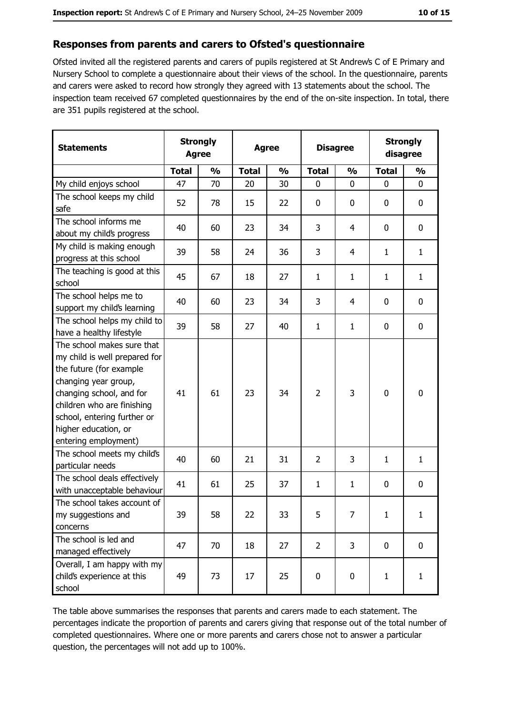#### Responses from parents and carers to Ofsted's questionnaire

Ofsted invited all the registered parents and carers of pupils registered at St Andrew's C of E Primary and Nursery School to complete a questionnaire about their views of the school. In the questionnaire, parents and carers were asked to record how strongly they agreed with 13 statements about the school. The inspection team received 67 completed questionnaires by the end of the on-site inspection. In total, there are 351 pupils registered at the school.

| <b>Statements</b>                                                                                                                                                                                                                                       | <b>Strongly</b><br><b>Agree</b> |               | <b>Agree</b> |               |                | <b>Disagree</b> |              | <b>Strongly</b><br>disagree |  |
|---------------------------------------------------------------------------------------------------------------------------------------------------------------------------------------------------------------------------------------------------------|---------------------------------|---------------|--------------|---------------|----------------|-----------------|--------------|-----------------------------|--|
|                                                                                                                                                                                                                                                         | <b>Total</b>                    | $\frac{0}{0}$ | <b>Total</b> | $\frac{0}{0}$ | <b>Total</b>   | $\frac{0}{0}$   | <b>Total</b> | $\frac{0}{0}$               |  |
| My child enjoys school                                                                                                                                                                                                                                  | 47                              | 70            | 20           | 30            | $\mathbf 0$    | 0               | 0            | 0                           |  |
| The school keeps my child<br>safe                                                                                                                                                                                                                       | 52                              | 78            | 15           | 22            | $\mathbf 0$    | 0               | 0            | 0                           |  |
| The school informs me<br>about my child's progress                                                                                                                                                                                                      | 40                              | 60            | 23           | 34            | 3              | 4               | 0            | $\mathbf 0$                 |  |
| My child is making enough<br>progress at this school                                                                                                                                                                                                    | 39                              | 58            | 24           | 36            | 3              | 4               | 1            | $\mathbf{1}$                |  |
| The teaching is good at this<br>school                                                                                                                                                                                                                  | 45                              | 67            | 18           | 27            | $\mathbf{1}$   | 1               | 1            | $\mathbf{1}$                |  |
| The school helps me to<br>support my child's learning                                                                                                                                                                                                   | 40                              | 60            | 23           | 34            | 3              | 4               | 0            | 0                           |  |
| The school helps my child to<br>have a healthy lifestyle                                                                                                                                                                                                | 39                              | 58            | 27           | 40            | $\mathbf{1}$   | $\mathbf{1}$    | 0            | $\mathbf 0$                 |  |
| The school makes sure that<br>my child is well prepared for<br>the future (for example<br>changing year group,<br>changing school, and for<br>children who are finishing<br>school, entering further or<br>higher education, or<br>entering employment) | 41                              | 61            | 23           | 34            | $\overline{2}$ | 3               | $\mathbf 0$  | 0                           |  |
| The school meets my child's<br>particular needs                                                                                                                                                                                                         | 40                              | 60            | 21           | 31            | $\overline{2}$ | 3               | $\mathbf{1}$ | $\mathbf{1}$                |  |
| The school deals effectively<br>with unacceptable behaviour                                                                                                                                                                                             | 41                              | 61            | 25           | 37            | $\mathbf{1}$   | $\mathbf{1}$    | 0            | 0                           |  |
| The school takes account of<br>my suggestions and<br>concerns                                                                                                                                                                                           | 39                              | 58            | 22           | 33            | 5              | $\prime$        | $\mathbf{1}$ | 1                           |  |
| The school is led and<br>managed effectively                                                                                                                                                                                                            | 47                              | 70            | 18           | 27            | $\overline{2}$ | 3               | 0            | 0                           |  |
| Overall, I am happy with my<br>child's experience at this<br>school                                                                                                                                                                                     | 49                              | 73            | 17           | 25            | 0              | 0               | $\mathbf{1}$ | $\mathbf{1}$                |  |

The table above summarises the responses that parents and carers made to each statement. The percentages indicate the proportion of parents and carers giving that response out of the total number of completed questionnaires. Where one or more parents and carers chose not to answer a particular question, the percentages will not add up to 100%.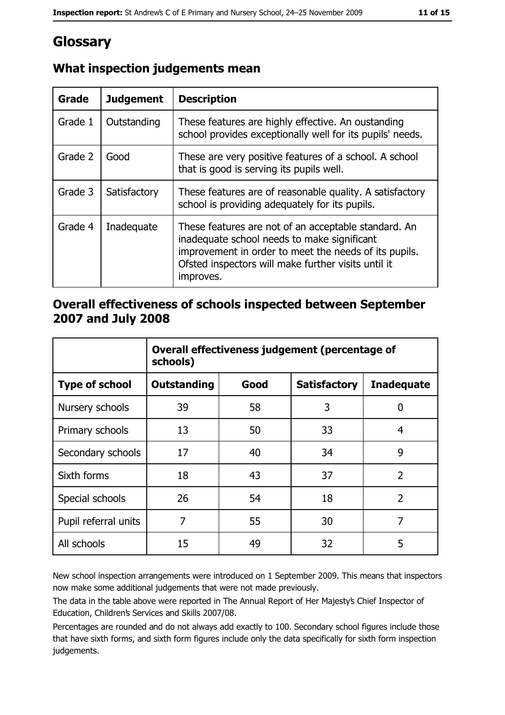# Glossary

| Grade   | <b>Judgement</b> | <b>Description</b>                                                                                                                                                                                                               |  |
|---------|------------------|----------------------------------------------------------------------------------------------------------------------------------------------------------------------------------------------------------------------------------|--|
| Grade 1 | Outstanding      | These features are highly effective. An oustanding<br>school provides exceptionally well for its pupils' needs.                                                                                                                  |  |
| Grade 2 | Good             | These are very positive features of a school. A school<br>that is good is serving its pupils well.                                                                                                                               |  |
| Grade 3 | Satisfactory     | These features are of reasonable quality. A satisfactory<br>school is providing adequately for its pupils.                                                                                                                       |  |
| Grade 4 | Inadequate       | These features are not of an acceptable standard. An<br>inadequate school needs to make significant<br>improvement in order to meet the needs of its pupils.<br>Ofsted inspectors will make further visits until it<br>improves. |  |

# What inspection judgements mean

### Overall effectiveness of schools inspected between September 2007 and July 2008

|                       | Overall effectiveness judgement (percentage of<br>schools) |      |                     |                   |
|-----------------------|------------------------------------------------------------|------|---------------------|-------------------|
| <b>Type of school</b> | Outstanding                                                | Good | <b>Satisfactory</b> | <b>Inadequate</b> |
| Nursery schools       | 39                                                         | 58   | 3                   | 0                 |
| Primary schools       | 13                                                         | 50   | 33                  | 4                 |
| Secondary schools     | 17                                                         | 40   | 34                  | 9                 |
| Sixth forms           | 18                                                         | 43   | 37                  | $\overline{2}$    |
| Special schools       | 26                                                         | 54   | 18                  | $\overline{2}$    |
| Pupil referral units  | 7                                                          | 55   | 30                  | 7                 |
| All schools           | 15                                                         | 49   | 32                  | 5                 |

New school inspection arrangements were introduced on 1 September 2009. This means that inspectors now make some additional judgements that were not made previously.

The data in the table above were reported in The Annual Report of Her Majesty's Chief Inspector of Education, Children's Services and Skills 2007/08.

Percentages are rounded and do not always add exactly to 100. Secondary school figures include those that have sixth forms, and sixth form figures include only the data specifically for sixth form inspection judgements.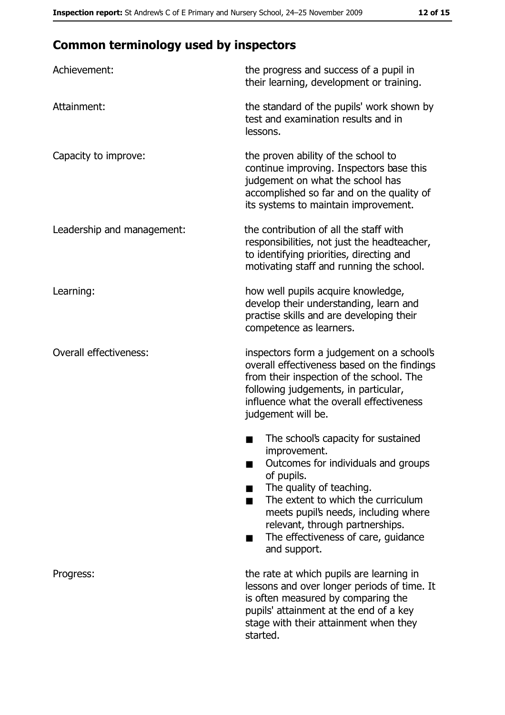# **Common terminology used by inspectors**

| Achievement:                  | the progress and success of a pupil in<br>their learning, development or training.                                                                                                                                                                                                                           |
|-------------------------------|--------------------------------------------------------------------------------------------------------------------------------------------------------------------------------------------------------------------------------------------------------------------------------------------------------------|
| Attainment:                   | the standard of the pupils' work shown by<br>test and examination results and in<br>lessons.                                                                                                                                                                                                                 |
| Capacity to improve:          | the proven ability of the school to<br>continue improving. Inspectors base this<br>judgement on what the school has<br>accomplished so far and on the quality of<br>its systems to maintain improvement.                                                                                                     |
| Leadership and management:    | the contribution of all the staff with<br>responsibilities, not just the headteacher,<br>to identifying priorities, directing and<br>motivating staff and running the school.                                                                                                                                |
| Learning:                     | how well pupils acquire knowledge,<br>develop their understanding, learn and<br>practise skills and are developing their<br>competence as learners.                                                                                                                                                          |
| <b>Overall effectiveness:</b> | inspectors form a judgement on a school's<br>overall effectiveness based on the findings<br>from their inspection of the school. The<br>following judgements, in particular,<br>influence what the overall effectiveness<br>judgement will be.                                                               |
|                               | The school's capacity for sustained<br>improvement.<br>Outcomes for individuals and groups<br>of pupils.<br>The quality of teaching.<br>The extent to which the curriculum<br>meets pupil's needs, including where<br>relevant, through partnerships.<br>The effectiveness of care, guidance<br>and support. |
| Progress:                     | the rate at which pupils are learning in<br>lessons and over longer periods of time. It<br>is often measured by comparing the<br>pupils' attainment at the end of a key<br>stage with their attainment when they<br>started.                                                                                 |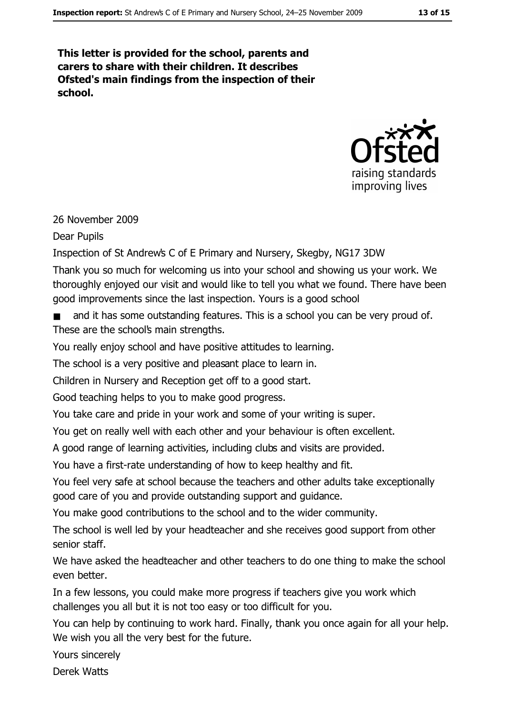This letter is provided for the school, parents and carers to share with their children. It describes Ofsted's main findings from the inspection of their school.



#### 26 November 2009

**Dear Pupils** 

Inspection of St Andrew's C of E Primary and Nursery, Skegby, NG17 3DW

Thank you so much for welcoming us into your school and showing us your work. We thoroughly enjoved our visit and would like to tell you what we found. There have been good improvements since the last inspection. Yours is a good school

and it has some outstanding features. This is a school you can be very proud of. These are the school's main strengths.

You really enjoy school and have positive attitudes to learning.

The school is a very positive and pleasant place to learn in.

Children in Nursery and Reception get off to a good start.

Good teaching helps to you to make good progress.

You take care and pride in your work and some of your writing is super.

You get on really well with each other and your behaviour is often excellent.

A good range of learning activities, including clubs and visits are provided.

You have a first-rate understanding of how to keep healthy and fit.

You feel very safe at school because the teachers and other adults take exceptionally good care of you and provide outstanding support and guidance.

You make good contributions to the school and to the wider community.

The school is well led by your headteacher and she receives good support from other senior staff.

We have asked the headteacher and other teachers to do one thing to make the school even hetter.

In a few lessons, you could make more progress if teachers give you work which challenges you all but it is not too easy or too difficult for you.

You can help by continuing to work hard. Finally, thank you once again for all your help. We wish you all the very best for the future.

Yours sincerely

**Derek Watts**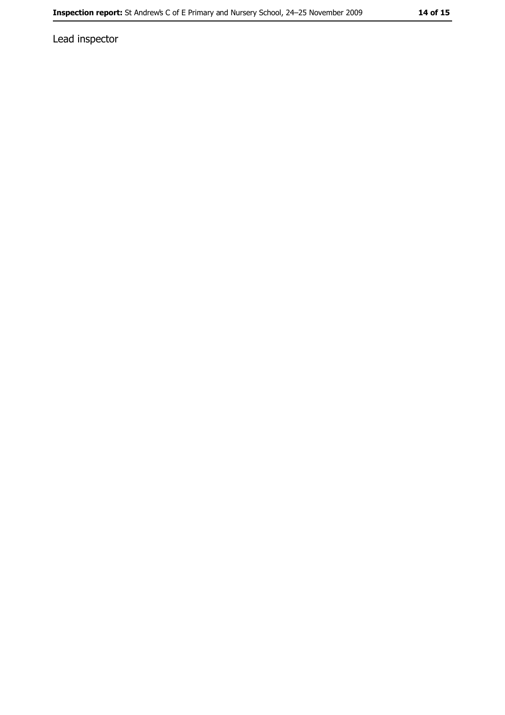Lead inspector